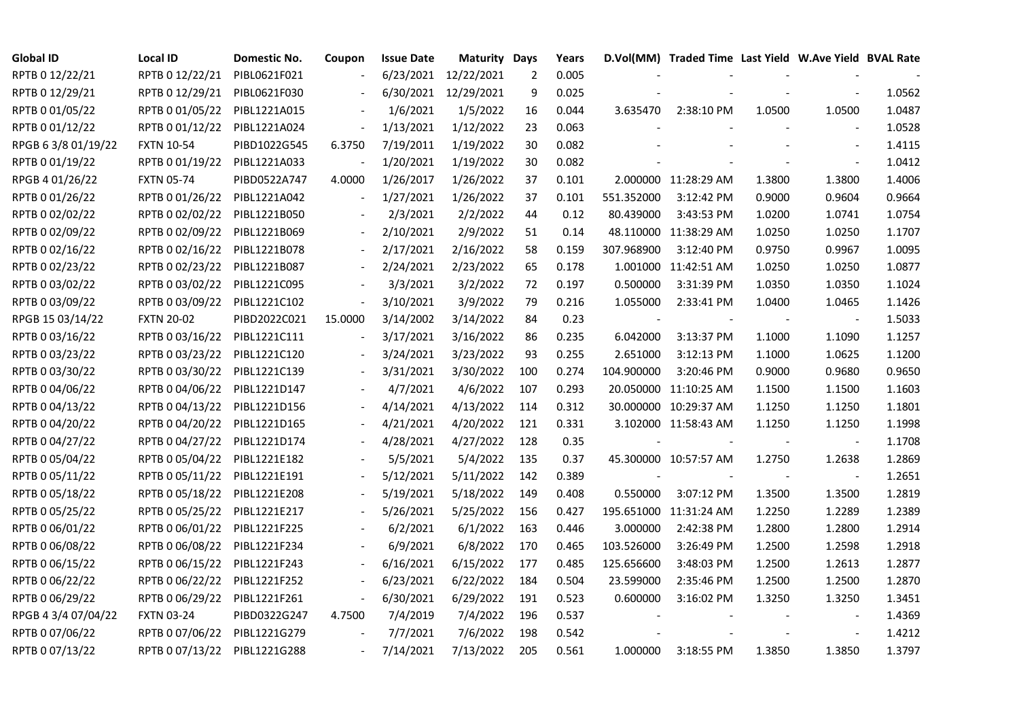| <b>Global ID</b>    | <b>Local ID</b>   | Domestic No. | Coupon  | <b>Issue Date</b> | <b>Maturity Days</b> |     | Years |                          | D.Vol(MM) Traded Time Last Yield W.Ave Yield BVAL Rate |        |                          |        |
|---------------------|-------------------|--------------|---------|-------------------|----------------------|-----|-------|--------------------------|--------------------------------------------------------|--------|--------------------------|--------|
| RPTB 0 12/22/21     | RPTB 0 12/22/21   | PIBL0621F021 |         |                   | 6/23/2021 12/22/2021 | 2   | 0.005 |                          |                                                        |        |                          |        |
| RPTB 0 12/29/21     | RPTB 0 12/29/21   | PIBL0621F030 |         | 6/30/2021         | 12/29/2021           | 9   | 0.025 |                          |                                                        |        |                          | 1.0562 |
| RPTB 0 01/05/22     | RPTB 0 01/05/22   | PIBL1221A015 |         | 1/6/2021          | 1/5/2022             | 16  | 0.044 | 3.635470                 | 2:38:10 PM                                             | 1.0500 | 1.0500                   | 1.0487 |
| RPTB 0 01/12/22     | RPTB 0 01/12/22   | PIBL1221A024 |         | 1/13/2021         | 1/12/2022            | 23  | 0.063 |                          |                                                        |        |                          | 1.0528 |
| RPGB 63/8 01/19/22  | <b>FXTN 10-54</b> | PIBD1022G545 | 6.3750  | 7/19/2011         | 1/19/2022            | 30  | 0.082 |                          |                                                        |        |                          | 1.4115 |
| RPTB 0 01/19/22     | RPTB 0 01/19/22   | PIBL1221A033 |         | 1/20/2021         | 1/19/2022            | 30  | 0.082 |                          |                                                        |        |                          | 1.0412 |
| RPGB 4 01/26/22     | <b>FXTN 05-74</b> | PIBD0522A747 | 4.0000  | 1/26/2017         | 1/26/2022            | 37  | 0.101 |                          | 2.000000 11:28:29 AM                                   | 1.3800 | 1.3800                   | 1.4006 |
| RPTB 0 01/26/22     | RPTB 0 01/26/22   | PIBL1221A042 |         | 1/27/2021         | 1/26/2022            | 37  | 0.101 | 551.352000               | 3:12:42 PM                                             | 0.9000 | 0.9604                   | 0.9664 |
| RPTB 0 02/02/22     | RPTB 0 02/02/22   | PIBL1221B050 |         | 2/3/2021          | 2/2/2022             | 44  | 0.12  | 80.439000                | 3:43:53 PM                                             | 1.0200 | 1.0741                   | 1.0754 |
| RPTB 0 02/09/22     | RPTB 0 02/09/22   | PIBL1221B069 |         | 2/10/2021         | 2/9/2022             | 51  | 0.14  |                          | 48.110000 11:38:29 AM                                  | 1.0250 | 1.0250                   | 1.1707 |
| RPTB 0 02/16/22     | RPTB 0 02/16/22   | PIBL1221B078 |         | 2/17/2021         | 2/16/2022            | 58  | 0.159 | 307.968900               | 3:12:40 PM                                             | 0.9750 | 0.9967                   | 1.0095 |
| RPTB 0 02/23/22     | RPTB 0 02/23/22   | PIBL1221B087 |         | 2/24/2021         | 2/23/2022            | 65  | 0.178 |                          | 1.001000 11:42:51 AM                                   | 1.0250 | 1.0250                   | 1.0877 |
| RPTB 0 03/02/22     | RPTB 0 03/02/22   | PIBL1221C095 |         | 3/3/2021          | 3/2/2022             | 72  | 0.197 | 0.500000                 | 3:31:39 PM                                             | 1.0350 | 1.0350                   | 1.1024 |
| RPTB 0 03/09/22     | RPTB 0 03/09/22   | PIBL1221C102 |         | 3/10/2021         | 3/9/2022             | 79  | 0.216 | 1.055000                 | 2:33:41 PM                                             | 1.0400 | 1.0465                   | 1.1426 |
| RPGB 15 03/14/22    | <b>FXTN 20-02</b> | PIBD2022C021 | 15.0000 | 3/14/2002         | 3/14/2022            | 84  | 0.23  | $\overline{\phantom{a}}$ |                                                        |        | $\overline{\phantom{a}}$ | 1.5033 |
| RPTB 0 03/16/22     | RPTB 0 03/16/22   | PIBL1221C111 |         | 3/17/2021         | 3/16/2022            | 86  | 0.235 | 6.042000                 | 3:13:37 PM                                             | 1.1000 | 1.1090                   | 1.1257 |
| RPTB 0 03/23/22     | RPTB 0 03/23/22   | PIBL1221C120 |         | 3/24/2021         | 3/23/2022            | 93  | 0.255 | 2.651000                 | 3:12:13 PM                                             | 1.1000 | 1.0625                   | 1.1200 |
| RPTB 0 03/30/22     | RPTB 0 03/30/22   | PIBL1221C139 |         | 3/31/2021         | 3/30/2022            | 100 | 0.274 | 104.900000               | 3:20:46 PM                                             | 0.9000 | 0.9680                   | 0.9650 |
| RPTB 0 04/06/22     | RPTB 0 04/06/22   | PIBL1221D147 |         | 4/7/2021          | 4/6/2022             | 107 | 0.293 |                          | 20.050000 11:10:25 AM                                  | 1.1500 | 1.1500                   | 1.1603 |
| RPTB 0 04/13/22     | RPTB 0 04/13/22   | PIBL1221D156 |         | 4/14/2021         | 4/13/2022            | 114 | 0.312 |                          | 30.000000 10:29:37 AM                                  | 1.1250 | 1.1250                   | 1.1801 |
| RPTB 0 04/20/22     | RPTB 0 04/20/22   | PIBL1221D165 |         | 4/21/2021         | 4/20/2022            | 121 | 0.331 |                          | 3.102000 11:58:43 AM                                   | 1.1250 | 1.1250                   | 1.1998 |
| RPTB 0 04/27/22     | RPTB 0 04/27/22   | PIBL1221D174 |         | 4/28/2021         | 4/27/2022            | 128 | 0.35  |                          |                                                        |        | $\blacksquare$           | 1.1708 |
| RPTB 0 05/04/22     | RPTB 0 05/04/22   | PIBL1221E182 |         | 5/5/2021          | 5/4/2022             | 135 | 0.37  |                          | 45.300000 10:57:57 AM                                  | 1.2750 | 1.2638                   | 1.2869 |
| RPTB 0 05/11/22     | RPTB 0 05/11/22   | PIBL1221E191 |         | 5/12/2021         | 5/11/2022            | 142 | 0.389 |                          |                                                        |        |                          | 1.2651 |
| RPTB 0 05/18/22     | RPTB 0 05/18/22   | PIBL1221E208 |         | 5/19/2021         | 5/18/2022            | 149 | 0.408 | 0.550000                 | 3:07:12 PM                                             | 1.3500 | 1.3500                   | 1.2819 |
| RPTB 0 05/25/22     | RPTB 0 05/25/22   | PIBL1221E217 |         | 5/26/2021         | 5/25/2022            | 156 | 0.427 |                          | 195.651000 11:31:24 AM                                 | 1.2250 | 1.2289                   | 1.2389 |
| RPTB 0 06/01/22     | RPTB 0 06/01/22   | PIBL1221F225 |         | 6/2/2021          | 6/1/2022             | 163 | 0.446 | 3.000000                 | 2:42:38 PM                                             | 1.2800 | 1.2800                   | 1.2914 |
| RPTB 0 06/08/22     | RPTB 0 06/08/22   | PIBL1221F234 |         | 6/9/2021          | 6/8/2022             | 170 | 0.465 | 103.526000               | 3:26:49 PM                                             | 1.2500 | 1.2598                   | 1.2918 |
| RPTB 0 06/15/22     | RPTB 0 06/15/22   | PIBL1221F243 |         | 6/16/2021         | 6/15/2022            | 177 | 0.485 | 125.656600               | 3:48:03 PM                                             | 1.2500 | 1.2613                   | 1.2877 |
| RPTB 0 06/22/22     | RPTB 0 06/22/22   | PIBL1221F252 |         | 6/23/2021         | 6/22/2022            | 184 | 0.504 | 23.599000                | 2:35:46 PM                                             | 1.2500 | 1.2500                   | 1.2870 |
| RPTB 0 06/29/22     | RPTB 0 06/29/22   | PIBL1221F261 |         | 6/30/2021         | 6/29/2022            | 191 | 0.523 | 0.600000                 | 3:16:02 PM                                             | 1.3250 | 1.3250                   | 1.3451 |
| RPGB 4 3/4 07/04/22 | <b>FXTN 03-24</b> | PIBD0322G247 | 4.7500  | 7/4/2019          | 7/4/2022             | 196 | 0.537 |                          |                                                        |        |                          | 1.4369 |
| RPTB 0 07/06/22     | RPTB 0 07/06/22   | PIBL1221G279 |         | 7/7/2021          | 7/6/2022             | 198 | 0.542 |                          |                                                        |        |                          | 1.4212 |
| RPTB 0 07/13/22     | RPTB 0 07/13/22   | PIBL1221G288 |         | 7/14/2021         | 7/13/2022            | 205 | 0.561 | 1.000000                 | 3:18:55 PM                                             | 1.3850 | 1.3850                   | 1.3797 |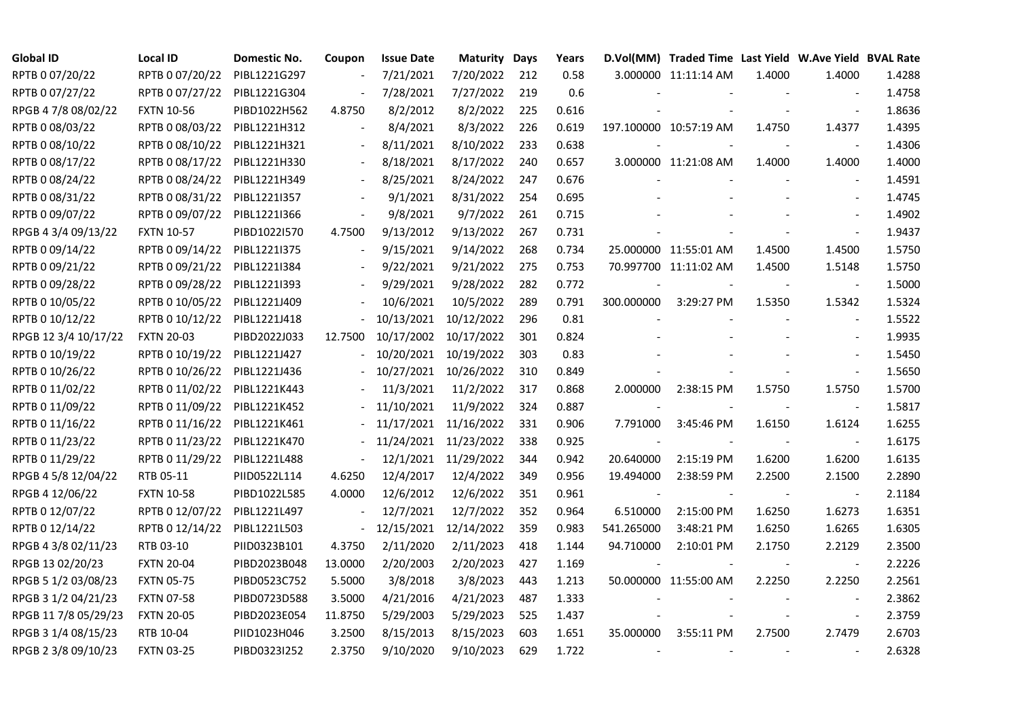| <b>Global ID</b>     | <b>Local ID</b>   | <b>Domestic No.</b> | Coupon         | <b>Issue Date</b> | <b>Maturity Days</b> |     | Years |                | D.Vol(MM) Traded Time Last Yield W.Ave Yield BVAL Rate |        |                          |        |
|----------------------|-------------------|---------------------|----------------|-------------------|----------------------|-----|-------|----------------|--------------------------------------------------------|--------|--------------------------|--------|
| RPTB 0 07/20/22      | RPTB 0 07/20/22   | PIBL1221G297        |                | 7/21/2021         | 7/20/2022            | 212 | 0.58  |                | 3.000000 11:11:14 AM                                   | 1.4000 | 1.4000                   | 1.4288 |
| RPTB 0 07/27/22      | RPTB 0 07/27/22   | PIBL1221G304        |                | 7/28/2021         | 7/27/2022            | 219 | 0.6   |                |                                                        |        |                          | 1.4758 |
| RPGB 4 7/8 08/02/22  | <b>FXTN 10-56</b> | PIBD1022H562        | 4.8750         | 8/2/2012          | 8/2/2022             | 225 | 0.616 |                |                                                        |        | $\overline{\phantom{a}}$ | 1.8636 |
| RPTB 0 08/03/22      | RPTB 0 08/03/22   | PIBL1221H312        |                | 8/4/2021          | 8/3/2022             | 226 | 0.619 |                | 197.100000 10:57:19 AM                                 | 1.4750 | 1.4377                   | 1.4395 |
| RPTB 0 08/10/22      | RPTB 0 08/10/22   | PIBL1221H321        |                | 8/11/2021         | 8/10/2022            | 233 | 0.638 |                |                                                        |        | $\blacksquare$           | 1.4306 |
| RPTB 0 08/17/22      | RPTB 0 08/17/22   | PIBL1221H330        |                | 8/18/2021         | 8/17/2022            | 240 | 0.657 |                | 3.000000 11:21:08 AM                                   | 1.4000 | 1.4000                   | 1.4000 |
| RPTB 0 08/24/22      | RPTB 0 08/24/22   | PIBL1221H349        |                | 8/25/2021         | 8/24/2022            | 247 | 0.676 |                |                                                        |        | $\blacksquare$           | 1.4591 |
| RPTB 0 08/31/22      | RPTB 0 08/31/22   | PIBL1221I357        |                | 9/1/2021          | 8/31/2022            | 254 | 0.695 |                |                                                        |        |                          | 1.4745 |
| RPTB 0 09/07/22      | RPTB 0 09/07/22   | PIBL1221I366        |                | 9/8/2021          | 9/7/2022             | 261 | 0.715 |                |                                                        |        |                          | 1.4902 |
| RPGB 4 3/4 09/13/22  | <b>FXTN 10-57</b> | PIBD1022I570        | 4.7500         | 9/13/2012         | 9/13/2022            | 267 | 0.731 |                |                                                        |        | $\sim$                   | 1.9437 |
| RPTB 0 09/14/22      | RPTB 0 09/14/22   | PIBL1221I375        |                | 9/15/2021         | 9/14/2022            | 268 | 0.734 |                | 25.000000 11:55:01 AM                                  | 1.4500 | 1.4500                   | 1.5750 |
| RPTB 0 09/21/22      | RPTB 0 09/21/22   | PIBL1221I384        |                | 9/22/2021         | 9/21/2022            | 275 | 0.753 |                | 70.997700 11:11:02 AM                                  | 1.4500 | 1.5148                   | 1.5750 |
| RPTB 0 09/28/22      | RPTB 0 09/28/22   | PIBL12211393        |                | 9/29/2021         | 9/28/2022            | 282 | 0.772 |                |                                                        |        | $\blacksquare$           | 1.5000 |
| RPTB 0 10/05/22      | RPTB 0 10/05/22   | PIBL1221J409        |                | 10/6/2021         | 10/5/2022            | 289 | 0.791 | 300.000000     | 3:29:27 PM                                             | 1.5350 | 1.5342                   | 1.5324 |
| RPTB 0 10/12/22      | RPTB 0 10/12/22   | PIBL1221J418        |                | 10/13/2021        | 10/12/2022           | 296 | 0.81  |                |                                                        |        |                          | 1.5522 |
| RPGB 12 3/4 10/17/22 | <b>FXTN 20-03</b> | PIBD2022J033        | 12.7500        | 10/17/2002        | 10/17/2022           | 301 | 0.824 |                |                                                        |        |                          | 1.9935 |
| RPTB 0 10/19/22      | RPTB 0 10/19/22   | PIBL1221J427        |                | 10/20/2021        | 10/19/2022           | 303 | 0.83  |                |                                                        |        | $\overline{\phantom{a}}$ | 1.5450 |
| RPTB 0 10/26/22      | RPTB 0 10/26/22   | PIBL1221J436        |                | 10/27/2021        | 10/26/2022           | 310 | 0.849 |                |                                                        |        | $\blacksquare$           | 1.5650 |
| RPTB 0 11/02/22      | RPTB 0 11/02/22   | PIBL1221K443        |                | 11/3/2021         | 11/2/2022            | 317 | 0.868 | 2.000000       | 2:38:15 PM                                             | 1.5750 | 1.5750                   | 1.5700 |
| RPTB 0 11/09/22      | RPTB 0 11/09/22   | PIBL1221K452        |                | 11/10/2021        | 11/9/2022            | 324 | 0.887 |                |                                                        |        | $\blacksquare$           | 1.5817 |
| RPTB 0 11/16/22      | RPTB 0 11/16/22   | PIBL1221K461        |                | 11/17/2021        | 11/16/2022           | 331 | 0.906 | 7.791000       | 3:45:46 PM                                             | 1.6150 | 1.6124                   | 1.6255 |
| RPTB 0 11/23/22      | RPTB 0 11/23/22   | PIBL1221K470        |                | 11/24/2021        | 11/23/2022           | 338 | 0.925 |                |                                                        |        | $\sim$                   | 1.6175 |
| RPTB 0 11/29/22      | RPTB 0 11/29/22   | PIBL1221L488        |                | 12/1/2021         | 11/29/2022           | 344 | 0.942 | 20.640000      | 2:15:19 PM                                             | 1.6200 | 1.6200                   | 1.6135 |
| RPGB 4 5/8 12/04/22  | RTB 05-11         | PIID0522L114        | 4.6250         | 12/4/2017         | 12/4/2022            | 349 | 0.956 | 19.494000      | 2:38:59 PM                                             | 2.2500 | 2.1500                   | 2.2890 |
| RPGB 4 12/06/22      | <b>FXTN 10-58</b> | PIBD1022L585        | 4.0000         | 12/6/2012         | 12/6/2022            | 351 | 0.961 | $\sim$         |                                                        |        | $\blacksquare$           | 2.1184 |
| RPTB 0 12/07/22      | RPTB 0 12/07/22   | PIBL1221L497        |                | 12/7/2021         | 12/7/2022            | 352 | 0.964 | 6.510000       | 2:15:00 PM                                             | 1.6250 | 1.6273                   | 1.6351 |
| RPTB 0 12/14/22      | RPTB 0 12/14/22   | PIBL1221L503        | $\blacksquare$ | 12/15/2021        | 12/14/2022           | 359 | 0.983 | 541.265000     | 3:48:21 PM                                             | 1.6250 | 1.6265                   | 1.6305 |
| RPGB 4 3/8 02/11/23  | RTB 03-10         | PIID0323B101        | 4.3750         | 2/11/2020         | 2/11/2023            | 418 | 1.144 | 94.710000      | 2:10:01 PM                                             | 2.1750 | 2.2129                   | 2.3500 |
| RPGB 13 02/20/23     | <b>FXTN 20-04</b> | PIBD2023B048        | 13.0000        | 2/20/2003         | 2/20/2023            | 427 | 1.169 | $\overline{a}$ |                                                        |        | $\blacksquare$           | 2.2226 |
| RPGB 5 1/2 03/08/23  | <b>FXTN 05-75</b> | PIBD0523C752        | 5.5000         | 3/8/2018          | 3/8/2023             | 443 | 1.213 |                | 50.000000 11:55:00 AM                                  | 2.2250 | 2.2250                   | 2.2561 |
| RPGB 3 1/2 04/21/23  | <b>FXTN 07-58</b> | PIBD0723D588        | 3.5000         | 4/21/2016         | 4/21/2023            | 487 | 1.333 |                |                                                        |        | $\overline{\phantom{a}}$ | 2.3862 |
| RPGB 11 7/8 05/29/23 | <b>FXTN 20-05</b> | PIBD2023E054        | 11.8750        | 5/29/2003         | 5/29/2023            | 525 | 1.437 |                |                                                        |        | $\blacksquare$           | 2.3759 |
| RPGB 3 1/4 08/15/23  | RTB 10-04         | PIID1023H046        | 3.2500         | 8/15/2013         | 8/15/2023            | 603 | 1.651 | 35.000000      | 3:55:11 PM                                             | 2.7500 | 2.7479                   | 2.6703 |
| RPGB 2 3/8 09/10/23  | <b>FXTN 03-25</b> | PIBD0323I252        | 2.3750         | 9/10/2020         | 9/10/2023            | 629 | 1.722 |                |                                                        |        |                          | 2.6328 |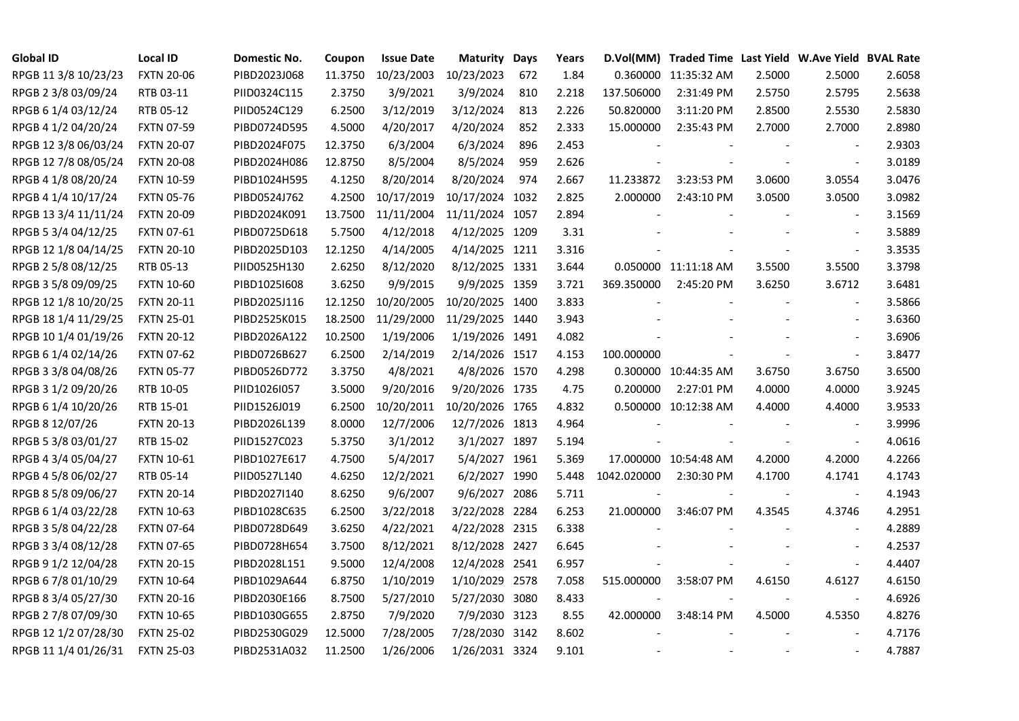| <b>Global ID</b>     | <b>Local ID</b>   | Domestic No. | Coupon  | <b>Issue Date</b> | <b>Maturity Days</b> |     | Years |             | D.Vol(MM) Traded Time Last Yield W.Ave Yield BVAL Rate |                |                          |        |
|----------------------|-------------------|--------------|---------|-------------------|----------------------|-----|-------|-------------|--------------------------------------------------------|----------------|--------------------------|--------|
| RPGB 11 3/8 10/23/23 | <b>FXTN 20-06</b> | PIBD2023J068 | 11.3750 | 10/23/2003        | 10/23/2023           | 672 | 1.84  |             | 0.360000 11:35:32 AM                                   | 2.5000         | 2.5000                   | 2.6058 |
| RPGB 2 3/8 03/09/24  | RTB 03-11         | PIID0324C115 | 2.3750  | 3/9/2021          | 3/9/2024             | 810 | 2.218 | 137.506000  | 2:31:49 PM                                             | 2.5750         | 2.5795                   | 2.5638 |
| RPGB 6 1/4 03/12/24  | RTB 05-12         | PIID0524C129 | 6.2500  | 3/12/2019         | 3/12/2024            | 813 | 2.226 | 50.820000   | 3:11:20 PM                                             | 2.8500         | 2.5530                   | 2.5830 |
| RPGB 4 1/2 04/20/24  | <b>FXTN 07-59</b> | PIBD0724D595 | 4.5000  | 4/20/2017         | 4/20/2024            | 852 | 2.333 | 15.000000   | 2:35:43 PM                                             | 2.7000         | 2.7000                   | 2.8980 |
| RPGB 12 3/8 06/03/24 | <b>FXTN 20-07</b> | PIBD2024F075 | 12.3750 | 6/3/2004          | 6/3/2024             | 896 | 2.453 |             |                                                        |                | $\overline{\phantom{a}}$ | 2.9303 |
| RPGB 12 7/8 08/05/24 | <b>FXTN 20-08</b> | PIBD2024H086 | 12.8750 | 8/5/2004          | 8/5/2024             | 959 | 2.626 |             |                                                        |                | $\blacksquare$           | 3.0189 |
| RPGB 4 1/8 08/20/24  | <b>FXTN 10-59</b> | PIBD1024H595 | 4.1250  | 8/20/2014         | 8/20/2024            | 974 | 2.667 | 11.233872   | 3:23:53 PM                                             | 3.0600         | 3.0554                   | 3.0476 |
| RPGB 4 1/4 10/17/24  | <b>FXTN 05-76</b> | PIBD0524J762 | 4.2500  | 10/17/2019        | 10/17/2024 1032      |     | 2.825 | 2.000000    | 2:43:10 PM                                             | 3.0500         | 3.0500                   | 3.0982 |
| RPGB 13 3/4 11/11/24 | <b>FXTN 20-09</b> | PIBD2024K091 | 13.7500 | 11/11/2004        | 11/11/2024 1057      |     | 2.894 |             |                                                        |                |                          | 3.1569 |
| RPGB 5 3/4 04/12/25  | <b>FXTN 07-61</b> | PIBD0725D618 | 5.7500  | 4/12/2018         | 4/12/2025 1209       |     | 3.31  |             |                                                        |                | $\sim$                   | 3.5889 |
| RPGB 12 1/8 04/14/25 | <b>FXTN 20-10</b> | PIBD2025D103 | 12.1250 | 4/14/2005         | 4/14/2025 1211       |     | 3.316 |             |                                                        |                | $\blacksquare$           | 3.3535 |
| RPGB 2 5/8 08/12/25  | RTB 05-13         | PIID0525H130 | 2.6250  | 8/12/2020         | 8/12/2025 1331       |     | 3.644 |             | 0.050000 11:11:18 AM                                   | 3.5500         | 3.5500                   | 3.3798 |
| RPGB 3 5/8 09/09/25  | <b>FXTN 10-60</b> | PIBD10251608 | 3.6250  | 9/9/2015          | 9/9/2025 1359        |     | 3.721 | 369.350000  | 2:45:20 PM                                             | 3.6250         | 3.6712                   | 3.6481 |
| RPGB 12 1/8 10/20/25 | <b>FXTN 20-11</b> | PIBD2025J116 | 12.1250 | 10/20/2005        | 10/20/2025 1400      |     | 3.833 |             |                                                        |                | $\sim$                   | 3.5866 |
| RPGB 18 1/4 11/29/25 | <b>FXTN 25-01</b> | PIBD2525K015 | 18.2500 | 11/29/2000        | 11/29/2025 1440      |     | 3.943 |             |                                                        |                | $\sim$                   | 3.6360 |
| RPGB 10 1/4 01/19/26 | <b>FXTN 20-12</b> | PIBD2026A122 | 10.2500 | 1/19/2006         | 1/19/2026 1491       |     | 4.082 |             |                                                        |                |                          | 3.6906 |
| RPGB 6 1/4 02/14/26  | <b>FXTN 07-62</b> | PIBD0726B627 | 6.2500  | 2/14/2019         | 2/14/2026 1517       |     | 4.153 | 100.000000  |                                                        |                | $\blacksquare$           | 3.8477 |
| RPGB 3 3/8 04/08/26  | <b>FXTN 05-77</b> | PIBD0526D772 | 3.3750  | 4/8/2021          | 4/8/2026 1570        |     | 4.298 |             | 0.300000 10:44:35 AM                                   | 3.6750         | 3.6750                   | 3.6500 |
| RPGB 3 1/2 09/20/26  | RTB 10-05         | PIID1026I057 | 3.5000  | 9/20/2016         | 9/20/2026 1735       |     | 4.75  | 0.200000    | 2:27:01 PM                                             | 4.0000         | 4.0000                   | 3.9245 |
| RPGB 6 1/4 10/20/26  | RTB 15-01         | PIID1526J019 | 6.2500  | 10/20/2011        | 10/20/2026 1765      |     | 4.832 |             | 0.500000 10:12:38 AM                                   | 4.4000         | 4.4000                   | 3.9533 |
| RPGB 8 12/07/26      | <b>FXTN 20-13</b> | PIBD2026L139 | 8.0000  | 12/7/2006         | 12/7/2026 1813       |     | 4.964 |             |                                                        |                | $\sim$                   | 3.9996 |
| RPGB 5 3/8 03/01/27  | RTB 15-02         | PIID1527C023 | 5.3750  | 3/1/2012          | 3/1/2027 1897        |     | 5.194 |             |                                                        |                | $\overline{\phantom{a}}$ | 4.0616 |
| RPGB 4 3/4 05/04/27  | <b>FXTN 10-61</b> | PIBD1027E617 | 4.7500  | 5/4/2017          | 5/4/2027 1961        |     | 5.369 |             | 17.000000 10:54:48 AM                                  | 4.2000         | 4.2000                   | 4.2266 |
| RPGB 4 5/8 06/02/27  | RTB 05-14         | PIID0527L140 | 4.6250  | 12/2/2021         | 6/2/2027 1990        |     | 5.448 | 1042.020000 | 2:30:30 PM                                             | 4.1700         | 4.1741                   | 4.1743 |
| RPGB 8 5/8 09/06/27  | <b>FXTN 20-14</b> | PIBD2027I140 | 8.6250  | 9/6/2007          | 9/6/2027 2086        |     | 5.711 |             |                                                        |                | $\blacksquare$           | 4.1943 |
| RPGB 6 1/4 03/22/28  | <b>FXTN 10-63</b> | PIBD1028C635 | 6.2500  | 3/22/2018         | 3/22/2028 2284       |     | 6.253 | 21.000000   | 3:46:07 PM                                             | 4.3545         | 4.3746                   | 4.2951 |
| RPGB 3 5/8 04/22/28  | <b>FXTN 07-64</b> | PIBD0728D649 | 3.6250  | 4/22/2021         | 4/22/2028 2315       |     | 6.338 |             |                                                        |                | $\sim$                   | 4.2889 |
| RPGB 3 3/4 08/12/28  | <b>FXTN 07-65</b> | PIBD0728H654 | 3.7500  | 8/12/2021         | 8/12/2028 2427       |     | 6.645 |             |                                                        |                | $\sim$                   | 4.2537 |
| RPGB 9 1/2 12/04/28  | <b>FXTN 20-15</b> | PIBD2028L151 | 9.5000  | 12/4/2008         | 12/4/2028 2541       |     | 6.957 |             |                                                        |                | $\sim$                   | 4.4407 |
| RPGB 67/8 01/10/29   | <b>FXTN 10-64</b> | PIBD1029A644 | 6.8750  | 1/10/2019         | 1/10/2029 2578       |     | 7.058 | 515.000000  | 3:58:07 PM                                             | 4.6150         | 4.6127                   | 4.6150 |
| RPGB 8 3/4 05/27/30  | <b>FXTN 20-16</b> | PIBD2030E166 | 8.7500  | 5/27/2010         | 5/27/2030 3080       |     | 8.433 |             |                                                        |                | $\overline{\phantom{a}}$ | 4.6926 |
| RPGB 2 7/8 07/09/30  | <b>FXTN 10-65</b> | PIBD1030G655 | 2.8750  | 7/9/2020          | 7/9/2030 3123        |     | 8.55  | 42.000000   | 3:48:14 PM                                             | 4.5000         | 4.5350                   | 4.8276 |
| RPGB 12 1/2 07/28/30 | <b>FXTN 25-02</b> | PIBD2530G029 | 12.5000 | 7/28/2005         | 7/28/2030 3142       |     | 8.602 |             |                                                        |                |                          | 4.7176 |
| RPGB 11 1/4 01/26/31 | <b>FXTN 25-03</b> | PIBD2531A032 | 11.2500 | 1/26/2006         | 1/26/2031 3324       |     | 9.101 |             |                                                        | $\blacksquare$ | $\blacksquare$           | 4.7887 |